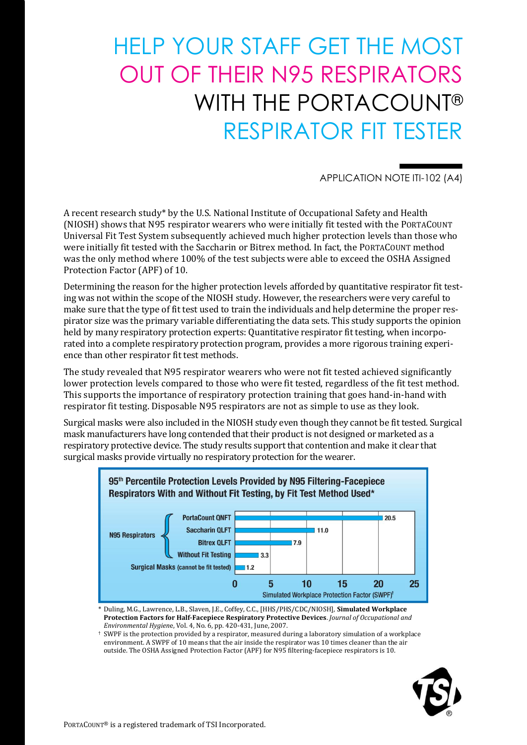## HELP YOUR STAFF GET THE MOST OUT OF THEIR N95 RESPIRATORS WITH THE PORTACOUNT® RESPIRATOR FIT TESTER

APPLICATION NOTE ITI-102 (A4)

A recent research study\* by the U.S. National Institute of Occupational Safety and Health (NIOSH) shows that N95 respirator wearers who were initially fit tested with the PORTACOUNT Universal Fit Test System subsequently achieved much higher protection levels than those who were initially fit tested with the Saccharin or Bitrex method. In fact, the PORTACOUNT method was the only method where 100% of the test subjects were able to exceed the OSHA Assigned Protection Factor (APF) of 10.

Determining the reason for the higher protection levels afforded by quantitative respirator fit testing was not within the scope of the NIOSH study. However, the researchers were very careful to make sure that the type of fit test used to train the individuals and help determine the proper respirator size was the primary variable differentiating the data sets. This study supports the opinion held by many respiratory protection experts: Quantitative respirator fit testing, when incorporated into a complete respiratory protection program, provides a more rigorous training experience than other respirator fit test methods.

The study revealed that N95 respirator wearers who were not fit tested achieved significantly lower protection levels compared to those who were fit tested, regardless of the fit test method. This supports the importance of respiratory protection training that goes hand-in-hand with respirator fit testing. Disposable N95 respirators are not as simple to use as they look.

Surgical masks were also included in the NIOSH study even though they cannot be fit tested. Surgical mask manufacturers have long contended that their product is not designed or marketed as a respiratory protective device. The study results support that contention and make it clear that surgical masks provide virtually no respiratory protection for the wearer.



<sup>\*</sup> Duling, M.G., Lawrence, L.B., Slaven, J.E., Coffey, C.C., [HHS/PHS/CDC/NIOSH], **Simulated Workplace Protection Factors for Half-Facepiece Respiratory Protective Devices**[.](http://oeh.informaworld.com/soeh/content~content=a713774396~db=all~jumptype=ref_internal~fromvnxs=v4n6s11~fromtitle=713657996~cons=768371016) *[Journal of Occupational and](http://oeh.informaworld.com/soeh/content~content=a713774396~db=all~jumptype=ref_internal~fromvnxs=v4n6s11~fromtitle=713657996~cons=768371016)  [Environmental Hygien](http://oeh.informaworld.com/soeh/title~content=t713657996~db=all~jumptype=ref_internal~fromvnxs=v4n6s11~fromtitle=713657996~cons=768371016)*e, Vol. 4, No. 6, pp. 420-431, June, 2007.

<sup>†</sup> SWPF is the protection provided by a respirator, measured during a laboratory simulation of a workplace environment. A SWPF of 10 means that the air inside the respirator was 10 times cleaner than the air outside. The OSHA Assigned Protection Factor (APF) for N95 filtering-facepiece respirators is 10.